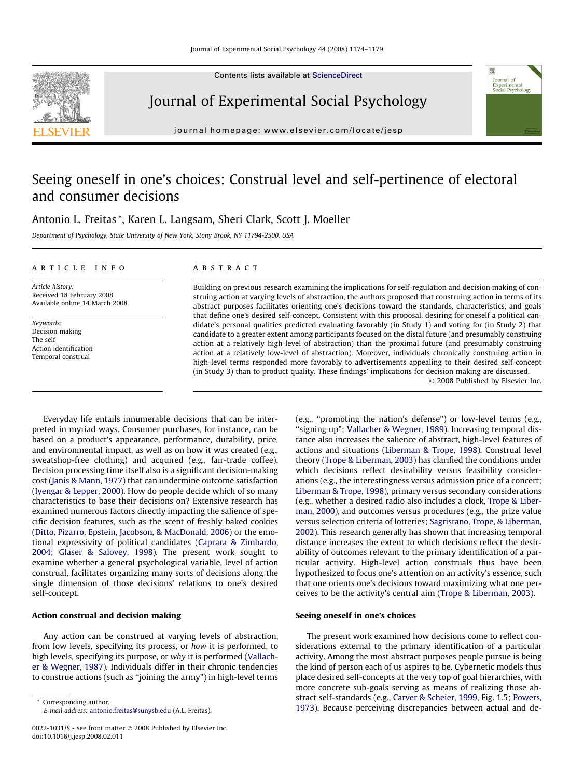Contents lists available at [ScienceDirect](http://www.sciencedirect.com/science/journal/00221031)



Journal of Experimental Social Psychology

journal homepage: [www.elsevier.com/locate/jesp](http://www.elsevier.com/locate/jesp)

# Seeing oneself in one's choices: Construal level and self-pertinence of electoral and consumer decisions

## Antonio L. Freitas \*, Karen L. Langsam, Sheri Clark, Scott J. Moeller

Department of Psychology, State University of New York, Stony Brook, NY 11794-2500, USA

## article info

Article history: Received 18 February 2008 Available online 14 March 2008

Keywords: Decision making The self Action identification Temporal construal

#### **ABSTRACT**

Building on previous research examining the implications for self-regulation and decision making of construing action at varying levels of abstraction, the authors proposed that construing action in terms of its abstract purposes facilitates orienting one's decisions toward the standards, characteristics, and goals that define one's desired self-concept. Consistent with this proposal, desiring for oneself a political candidate's personal qualities predicted evaluating favorably (in Study 1) and voting for (in Study 2) that candidate to a greater extent among participants focused on the distal future (and presumably construing action at a relatively high-level of abstraction) than the proximal future (and presumably construing action at a relatively low-level of abstraction). Moreover, individuals chronically construing action in high-level terms responded more favorably to advertisements appealing to their desired self-concept (in Study 3) than to product quality. These findings' implications for decision making are discussed. - 2008 Published by Elsevier Inc.

Everyday life entails innumerable decisions that can be interpreted in myriad ways. Consumer purchases, for instance, can be based on a product's appearance, performance, durability, price, and environmental impact, as well as on how it was created (e.g., sweatshop-free clothing) and acquired (e.g., fair-trade coffee). Decision processing time itself also is a significant decision-making cost ([Janis & Mann, 1977](#page-5-0)) that can undermine outcome satisfaction ([Iyengar & Lepper, 2000](#page-5-0)). How do people decide which of so many characteristics to base their decisions on? Extensive research has examined numerous factors directly impacting the salience of specific decision features, such as the scent of freshly baked cookies ([Ditto, Pizarro, Epstein, Jacobson, & MacDonald, 2006\)](#page-5-0) or the emotional expressivity of political candidates [\(Caprara & Zimbardo,](#page-5-0) [2004; Glaser & Salovey, 1998](#page-5-0)). The present work sought to examine whether a general psychological variable, level of action construal, facilitates organizing many sorts of decisions along the single dimension of those decisions' relations to one's desired self-concept.

## Action construal and decision making

Any action can be construed at varying levels of abstraction, from low levels, specifying its process, or how it is performed, to high levels, specifying its purpose, or why it is performed ([Vallach](#page-5-0)[er & Wegner, 1987](#page-5-0)). Individuals differ in their chronic tendencies to construe actions (such as ''joining the army") in high-level terms

Corresponding author. E-mail address: [antonio.freitas@sunysb.edu](mailto:antonio.freitas@sunysb.edu) (A.L. Freitas). (e.g., ''promoting the nation's defense") or low-level terms (e.g., "signing up"; [Vallacher & Wegner, 1989](#page-5-0)). Increasing temporal distance also increases the salience of abstract, high-level features of actions and situations ([Liberman & Trope, 1998\)](#page-5-0). Construal level theory ([Trope & Liberman, 2003\)](#page-5-0) has clarified the conditions under which decisions reflect desirability versus feasibility considerations (e.g., the interestingness versus admission price of a concert; [Liberman & Trope, 1998\)](#page-5-0), primary versus secondary considerations (e.g., whether a desired radio also includes a clock, [Trope & Liber](#page-5-0)[man, 2000\)](#page-5-0), and outcomes versus procedures (e.g., the prize value versus selection criteria of lotteries; [Sagristano, Trope, & Liberman,](#page-5-0) [2002\)](#page-5-0). This research generally has shown that increasing temporal distance increases the extent to which decisions reflect the desirability of outcomes relevant to the primary identification of a particular activity. High-level action construals thus have been hypothesized to focus one's attention on an activity's essence, such that one orients one's decisions toward maximizing what one perceives to be the activity's central aim [\(Trope & Liberman, 2003](#page-5-0)).

度 **Lournal** of Experimental<br>Social Psychology

## Seeing oneself in one's choices

The present work examined how decisions come to reflect considerations external to the primary identification of a particular activity. Among the most abstract purposes people pursue is being the kind of person each of us aspires to be. Cybernetic models thus place desired self-concepts at the very top of goal hierarchies, with more concrete sub-goals serving as means of realizing those abstract self-standards (e.g., [Carver & Scheier, 1999,](#page-5-0) Fig. 1.5; [Powers,](#page-5-0) [1973\)](#page-5-0). Because perceiving discrepancies between actual and de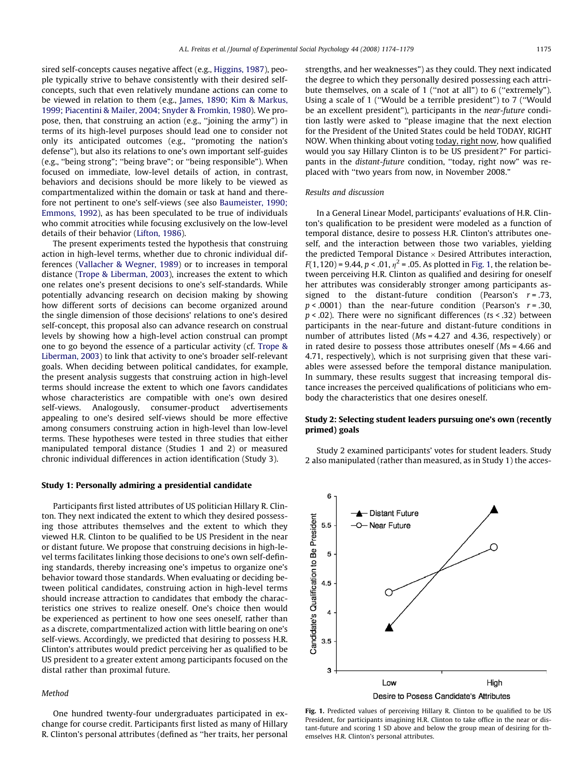sired self-concepts causes negative affect (e.g., [Higgins, 1987\)](#page-5-0), people typically strive to behave consistently with their desired selfconcepts, such that even relatively mundane actions can come to be viewed in relation to them (e.g., [James, 1890; Kim & Markus,](#page-5-0) [1999; Piacentini & Mailer, 2004; Snyder & Fromkin, 1980\)](#page-5-0). We propose, then, that construing an action (e.g., ''joining the army") in terms of its high-level purposes should lead one to consider not only its anticipated outcomes (e.g., ''promoting the nation's defense"), but also its relations to one's own important self-guides (e.g., ''being strong"; ''being brave"; or ''being responsible"). When focused on immediate, low-level details of action, in contrast, behaviors and decisions should be more likely to be viewed as compartmentalized within the domain or task at hand and therefore not pertinent to one's self-views (see also [Baumeister, 1990;](#page-5-0) [Emmons, 1992\)](#page-5-0), as has been speculated to be true of individuals who commit atrocities while focusing exclusively on the low-level details of their behavior ([Lifton, 1986](#page-5-0)).

The present experiments tested the hypothesis that construing action in high-level terms, whether due to chronic individual differences [\(Vallacher & Wegner, 1989\)](#page-5-0) or to increases in temporal distance ([Trope & Liberman, 2003](#page-5-0)), increases the extent to which one relates one's present decisions to one's self-standards. While potentially advancing research on decision making by showing how different sorts of decisions can become organized around the single dimension of those decisions' relations to one's desired self-concept, this proposal also can advance research on construal levels by showing how a high-level action construal can prompt one to go beyond the essence of a particular activity (cf. [Trope &](#page-5-0) [Liberman, 2003](#page-5-0)) to link that activity to one's broader self-relevant goals. When deciding between political candidates, for example, the present analysis suggests that construing action in high-level terms should increase the extent to which one favors candidates whose characteristics are compatible with one's own desired self-views. Analogously, consumer-product advertisements appealing to one's desired self-views should be more effective among consumers construing action in high-level than low-level terms. These hypotheses were tested in three studies that either manipulated temporal distance (Studies 1 and 2) or measured chronic individual differences in action identification (Study 3).

#### Study 1: Personally admiring a presidential candidate

Participants first listed attributes of US politician Hillary R. Clinton. They next indicated the extent to which they desired possessing those attributes themselves and the extent to which they viewed H.R. Clinton to be qualified to be US President in the near or distant future. We propose that construing decisions in high-level terms facilitates linking those decisions to one's own self-defining standards, thereby increasing one's impetus to organize one's behavior toward those standards. When evaluating or deciding between political candidates, construing action in high-level terms should increase attraction to candidates that embody the characteristics one strives to realize oneself. One's choice then would be experienced as pertinent to how one sees oneself, rather than as a discrete, compartmentalized action with little bearing on one's self-views. Accordingly, we predicted that desiring to possess H.R. Clinton's attributes would predict perceiving her as qualified to be US president to a greater extent among participants focused on the distal rather than proximal future.

## Method

One hundred twenty-four undergraduates participated in exchange for course credit. Participants first listed as many of Hillary R. Clinton's personal attributes (defined as ''her traits, her personal strengths, and her weaknesses") as they could. They next indicated the degree to which they personally desired possessing each attribute themselves, on a scale of 1 (''not at all") to 6 (''extremely"). Using a scale of 1 (''Would be a terrible president") to 7 (''Would be an excellent president"), participants in the near-future condition lastly were asked to ''please imagine that the next election for the President of the United States could be held TODAY, RIGHT NOW. When thinking about voting today, right now, how qualified would you say Hillary Clinton is to be US president?" For participants in the distant-future condition, ''today, right now" was replaced with ''two years from now, in November 2008."

## Results and discussion

In a General Linear Model, participants' evaluations of H.R. Clinton's qualification to be president were modeled as a function of temporal distance, desire to possess H.R. Clinton's attributes oneself, and the interaction between those two variables, yielding the predicted Temporal Distance  $\times$  Desired Attributes interaction,  $F(1,120) = 9.44$ ,  $p < .01$ ,  $\eta^2 = .05$ . As plotted in Fig. 1, the relation between perceiving H.R. Clinton as qualified and desiring for oneself her attributes was considerably stronger among participants assigned to the distant-future condition (Pearson's  $r = .73$ ,  $p < .0001$ ) than the near-future condition (Pearson's  $r = .30$ ,  $p < .02$ ). There were no significant differences (ts < .32) between participants in the near-future and distant-future conditions in number of attributes listed (Ms = 4.27 and 4.36, respectively) or in rated desire to possess those attributes oneself (Ms = 4.66 and 4.71, respectively), which is not surprising given that these variables were assessed before the temporal distance manipulation. In summary, these results suggest that increasing temporal distance increases the perceived qualifications of politicians who embody the characteristics that one desires oneself.

## Study 2: Selecting student leaders pursuing one's own (recently primed) goals

Study 2 examined participants' votes for student leaders. Study 2 also manipulated (rather than measured, as in Study 1) the acces-



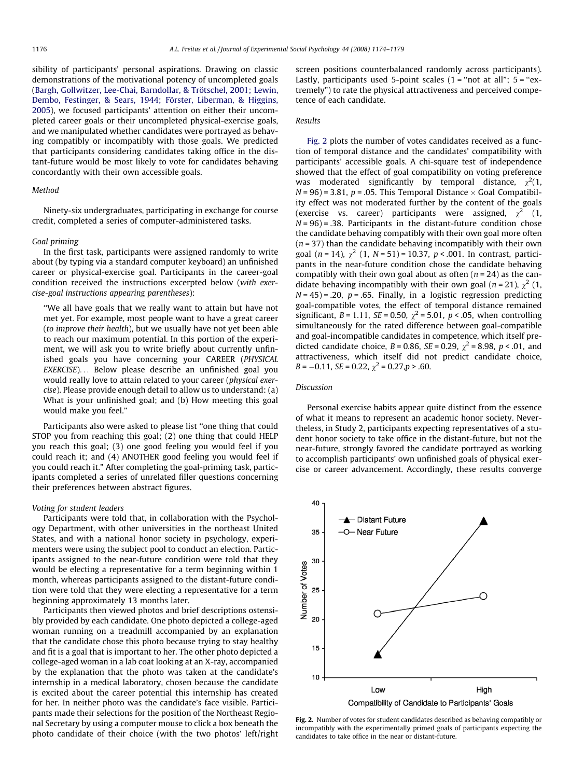sibility of participants' personal aspirations. Drawing on classic demonstrations of the motivational potency of uncompleted goals ([Bargh, Gollwitzer, Lee-Chai, Barndollar, & Trötschel, 2001; Lewin,](#page-5-0) [Dembo, Festinger, & Sears, 1944; Förster, Liberman, & Higgins,](#page-5-0) [2005\)](#page-5-0), we focused participants' attention on either their uncompleted career goals or their uncompleted physical-exercise goals, and we manipulated whether candidates were portrayed as behaving compatibly or incompatibly with those goals. We predicted that participants considering candidates taking office in the distant-future would be most likely to vote for candidates behaving concordantly with their own accessible goals.

#### Method

Ninety-six undergraduates, participating in exchange for course credit, completed a series of computer-administered tasks.

#### Goal priming

In the first task, participants were assigned randomly to write about (by typing via a standard computer keyboard) an unfinished career or physical-exercise goal. Participants in the career-goal condition received the instructions excerpted below (with exercise-goal instructions appearing parentheses):

''We all have goals that we really want to attain but have not met yet. For example, most people want to have a great career (to improve their health), but we usually have not yet been able to reach our maximum potential. In this portion of the experiment, we will ask you to write briefly about currently unfinished goals you have concerning your CAREER (PHYSICAL EXERCISE)... Below please describe an unfinished goal you would really love to attain related to your career (physical exercise). Please provide enough detail to allow us to understand: (a) What is your unfinished goal; and (b) How meeting this goal would make you feel."

Participants also were asked to please list ''one thing that could STOP you from reaching this goal; (2) one thing that could HELP you reach this goal; (3) one good feeling you would feel if you could reach it; and (4) ANOTHER good feeling you would feel if you could reach it." After completing the goal-priming task, participants completed a series of unrelated filler questions concerning their preferences between abstract figures.

#### Voting for student leaders

Participants were told that, in collaboration with the Psychology Department, with other universities in the northeast United States, and with a national honor society in psychology, experimenters were using the subject pool to conduct an election. Participants assigned to the near-future condition were told that they would be electing a representative for a term beginning within 1 month, whereas participants assigned to the distant-future condition were told that they were electing a representative for a term beginning approximately 13 months later.

Participants then viewed photos and brief descriptions ostensibly provided by each candidate. One photo depicted a college-aged woman running on a treadmill accompanied by an explanation that the candidate chose this photo because trying to stay healthy and fit is a goal that is important to her. The other photo depicted a college-aged woman in a lab coat looking at an X-ray, accompanied by the explanation that the photo was taken at the candidate's internship in a medical laboratory, chosen because the candidate is excited about the career potential this internship has created for her. In neither photo was the candidate's face visible. Participants made their selections for the position of the Northeast Regional Secretary by using a computer mouse to click a box beneath the photo candidate of their choice (with the two photos' left/right screen positions counterbalanced randomly across participants). Lastly, participants used 5-point scales  $(1 - \text{``not at all''}; 5 - \text{``ex--})$ tremely") to rate the physical attractiveness and perceived competence of each candidate.

## Results

Fig. 2 plots the number of votes candidates received as a function of temporal distance and the candidates' compatibility with participants' accessible goals. A chi-square test of independence showed that the effect of goal compatibility on voting preference was moderated significantly by temporal distance,  $\chi^2(1)$ ,  $N$  = 96) = 3.81,  $p$  = .05. This Temporal Distance  $\times$  Goal Compatibility effect was not moderated further by the content of the goals (exercise vs. career) participants were assigned,  $\chi^2$  (1,  $N = 96$  = .38. Participants in the distant-future condition chose the candidate behaving compatibly with their own goal more often  $(n = 37)$  than the candidate behaving incompatibly with their own goal (n = 14),  $\chi^2$  (1, N = 51) = 10.37, p < .001. In contrast, participants in the near-future condition chose the candidate behaving compatibly with their own goal about as often ( $n = 24$ ) as the candidate behaving incompatibly with their own goal (n = 21),  $\chi^2$  (1,  $N = 45$  = .20,  $p = .65$ . Finally, in a logistic regression predicting goal-compatible votes, the effect of temporal distance remained significant,  $B = 1.11$ ,  $SE = 0.50$ ,  $\chi^2 = 5.01$ ,  $p < .05$ , when controlling simultaneously for the rated difference between goal-compatible and goal-incompatible candidates in competence, which itself predicted candidate choice,  $B = 0.86$ ,  $SE = 0.29$ ,  $\chi^2 = 8.98$ ,  $p < .01$ , and attractiveness, which itself did not predict candidate choice,  $B = -0.11$ ,  $SE = 0.22$ ,  $\chi^2 = 0.27$ ,  $p > .60$ .

#### Discussion

Personal exercise habits appear quite distinct from the essence of what it means to represent an academic honor society. Nevertheless, in Study 2, participants expecting representatives of a student honor society to take office in the distant-future, but not the near-future, strongly favored the candidate portrayed as working to accomplish participants' own unfinished goals of physical exercise or career advancement. Accordingly, these results converge



Fig. 2. Number of votes for student candidates described as behaving compatibly or incompatibly with the experimentally primed goals of participants expecting the candidates to take office in the near or distant-future.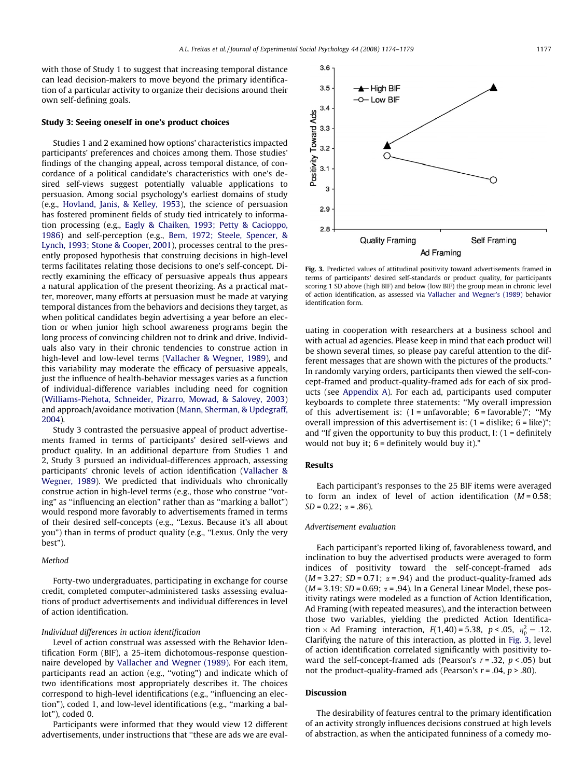with those of Study 1 to suggest that increasing temporal distance can lead decision-makers to move beyond the primary identification of a particular activity to organize their decisions around their own self-defining goals.

#### Study 3: Seeing oneself in one's product choices

Studies 1 and 2 examined how options' characteristics impacted participants' preferences and choices among them. Those studies' findings of the changing appeal, across temporal distance, of concordance of a political candidate's characteristics with one's desired self-views suggest potentially valuable applications to persuasion. Among social psychology's earliest domains of study (e.g., [Hovland, Janis, & Kelley, 1953](#page-5-0)), the science of persuasion has fostered prominent fields of study tied intricately to information processing (e.g., [Eagly & Chaiken, 1993; Petty & Cacioppo,](#page-5-0) [1986\)](#page-5-0) and self-perception (e.g., [Bem, 1972; Steele, Spencer, &](#page-5-0) [Lynch, 1993; Stone & Cooper, 2001\)](#page-5-0), processes central to the presently proposed hypothesis that construing decisions in high-level terms facilitates relating those decisions to one's self-concept. Directly examining the efficacy of persuasive appeals thus appears a natural application of the present theorizing. As a practical matter, moreover, many efforts at persuasion must be made at varying temporal distances from the behaviors and decisions they target, as when political candidates begin advertising a year before an election or when junior high school awareness programs begin the long process of convincing children not to drink and drive. Individuals also vary in their chronic tendencies to construe action in high-level and low-level terms ([Vallacher & Wegner, 1989](#page-5-0)), and this variability may moderate the efficacy of persuasive appeals, just the influence of health-behavior messages varies as a function of individual-difference variables including need for cognition ([Williams-Piehota, Schneider, Pizarro, Mowad, & Salovey, 2003\)](#page-5-0) and approach/avoidance motivation [\(Mann, Sherman, & Updegraff,](#page-5-0) [2004](#page-5-0)).

Study 3 contrasted the persuasive appeal of product advertisements framed in terms of participants' desired self-views and product quality. In an additional departure from Studies 1 and 2, Study 3 pursued an individual-differences approach, assessing participants' chronic levels of action identification [\(Vallacher &](#page-5-0) [Wegner, 1989\)](#page-5-0). We predicted that individuals who chronically construe action in high-level terms (e.g., those who construe ''voting" as ''influencing an election" rather than as ''marking a ballot") would respond more favorably to advertisements framed in terms of their desired self-concepts (e.g., ''Lexus. Because it's all about you") than in terms of product quality (e.g., ''Lexus. Only the very best").

#### Method

Forty-two undergraduates, participating in exchange for course credit, completed computer-administered tasks assessing evaluations of product advertisements and individual differences in level of action identification.

#### Individual differences in action identification

Level of action construal was assessed with the Behavior Identification Form (BIF), a 25-item dichotomous-response questionnaire developed by [Vallacher and Wegner \(1989\)](#page-5-0). For each item, participants read an action (e.g., "voting") and indicate which of two identifications most appropriately describes it. The choices correspond to high-level identifications (e.g., ''influencing an election"), coded 1, and low-level identifications (e.g., ''marking a ballot"), coded 0.

Participants were informed that they would view 12 different advertisements, under instructions that ''these are ads we are eval-



Fig. 3. Predicted values of attitudinal positivity toward advertisements framed in terms of participants' desired self-standards or product quality, for participants scoring 1 SD above (high BIF) and below (low BIF) the group mean in chronic level of action identification, as assessed via [Vallacher and Wegner's \(1989\)](#page-5-0) behavior identification form.

uating in cooperation with researchers at a business school and with actual ad agencies. Please keep in mind that each product will be shown several times, so please pay careful attention to the different messages that are shown with the pictures of the products." In randomly varying orders, participants then viewed the self-concept-framed and product-quality-framed ads for each of six products (see Appendix A). For each ad, participants used computer keyboards to complete three statements: ''My overall impression of this advertisement is:  $(1 = \text{unfavorable}; 6 = \text{favorable})$ "; "My overall impression of this advertisement is:  $(1 -$  dislike;  $6 -$  like)"; and "If given the opportunity to buy this product, I:  $(1 -$  definitely would not buy it; 6 = definitely would buy it)."

#### Results

Each participant's responses to the 25 BIF items were averaged to form an index of level of action identification  $(M = 0.58)$ ;  $SD = 0.22$ ;  $\alpha = .86$ ).

#### Advertisement evaluation

Each participant's reported liking of, favorableness toward, and inclination to buy the advertised products were averaged to form indices of positivity toward the self-concept-framed ads  $(M = 3.27; SD = 0.71; \alpha = .94)$  and the product-quality-framed ads  $(M = 3.19; SD = 0.69; \alpha = .94)$ . In a General Linear Model, these positivity ratings were modeled as a function of Action Identification, Ad Framing (with repeated measures), and the interaction between those two variables, yielding the predicted Action Identification  $\times$  Ad Framing interaction,  $F(1,40)$  = 5.38,  $p < .05$ ,  $\eta_{\rm p}^2 = .12$ . Clarifying the nature of this interaction, as plotted in Fig. 3, level of action identification correlated significantly with positivity toward the self-concept-framed ads (Pearson's  $r = .32$ ,  $p < .05$ ) but not the product-quality-framed ads (Pearson's  $r = .04$ ,  $p > .80$ ).

#### Discussion

The desirability of features central to the primary identification of an activity strongly influences decisions construed at high levels of abstraction, as when the anticipated funniness of a comedy mo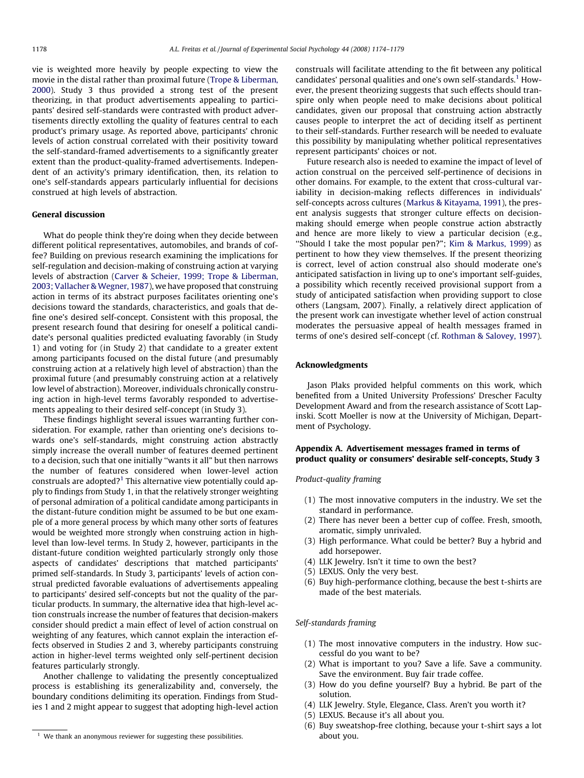vie is weighted more heavily by people expecting to view the movie in the distal rather than proximal future ([Trope & Liberman,](#page-5-0) [2000\)](#page-5-0). Study 3 thus provided a strong test of the present theorizing, in that product advertisements appealing to participants' desired self-standards were contrasted with product advertisements directly extolling the quality of features central to each product's primary usage. As reported above, participants' chronic levels of action construal correlated with their positivity toward the self-standard-framed advertisements to a significantly greater extent than the product-quality-framed advertisements. Independent of an activity's primary identification, then, its relation to one's self-standards appears particularly influential for decisions construed at high levels of abstraction.

## General discussion

What do people think they're doing when they decide between different political representatives, automobiles, and brands of coffee? Building on previous research examining the implications for self-regulation and decision-making of construing action at varying levels of abstraction [\(Carver & Scheier, 1999; Trope & Liberman,](#page-5-0) [2003; Vallacher & Wegner, 1987\)](#page-5-0), we have proposed that construing action in terms of its abstract purposes facilitates orienting one's decisions toward the standards, characteristics, and goals that define one's desired self-concept. Consistent with this proposal, the present research found that desiring for oneself a political candidate's personal qualities predicted evaluating favorably (in Study 1) and voting for (in Study 2) that candidate to a greater extent among participants focused on the distal future (and presumably construing action at a relatively high level of abstraction) than the proximal future (and presumably construing action at a relatively low level of abstraction). Moreover, individuals chronically construing action in high-level terms favorably responded to advertisements appealing to their desired self-concept (in Study 3).

These findings highlight several issues warranting further consideration. For example, rather than orienting one's decisions towards one's self-standards, might construing action abstractly simply increase the overall number of features deemed pertinent to a decision, such that one initially ''wants it all" but then narrows the number of features considered when lower-level action construals are adopted?<sup>1</sup> This alternative view potentially could apply to findings from Study 1, in that the relatively stronger weighting of personal admiration of a political candidate among participants in the distant-future condition might be assumed to be but one example of a more general process by which many other sorts of features would be weighted more strongly when construing action in highlevel than low-level terms. In Study 2, however, participants in the distant-future condition weighted particularly strongly only those aspects of candidates' descriptions that matched participants' primed self-standards. In Study 3, participants' levels of action construal predicted favorable evaluations of advertisements appealing to participants' desired self-concepts but not the quality of the particular products. In summary, the alternative idea that high-level action construals increase the number of features that decision-makers consider should predict a main effect of level of action construal on weighting of any features, which cannot explain the interaction effects observed in Studies 2 and 3, whereby participants construing action in higher-level terms weighted only self-pertinent decision features particularly strongly.

Another challenge to validating the presently conceptualized process is establishing its generalizability and, conversely, the boundary conditions delimiting its operation. Findings from Studies 1 and 2 might appear to suggest that adopting high-level action construals will facilitate attending to the fit between any political candidates' personal qualities and one's own self-standards.<sup>1</sup> However, the present theorizing suggests that such effects should transpire only when people need to make decisions about political candidates, given our proposal that construing action abstractly causes people to interpret the act of deciding itself as pertinent to their self-standards. Further research will be needed to evaluate this possibility by manipulating whether political representatives represent participants' choices or not.

Future research also is needed to examine the impact of level of action construal on the perceived self-pertinence of decisions in other domains. For example, to the extent that cross-cultural variability in decision-making reflects differences in individuals' self-concepts across cultures ([Markus & Kitayama, 1991\)](#page-5-0), the present analysis suggests that stronger culture effects on decisionmaking should emerge when people construe action abstractly and hence are more likely to view a particular decision (e.g., ''Should I take the most popular pen?"; [Kim & Markus, 1999\)](#page-5-0) as pertinent to how they view themselves. If the present theorizing is correct, level of action construal also should moderate one's anticipated satisfaction in living up to one's important self-guides, a possibility which recently received provisional support from a study of anticipated satisfaction when providing support to close others (Langsam, 2007). Finally, a relatively direct application of the present work can investigate whether level of action construal moderates the persuasive appeal of health messages framed in terms of one's desired self-concept (cf. [Rothman & Salovey, 1997\)](#page-5-0).

#### Acknowledgments

Jason Plaks provided helpful comments on this work, which benefited from a United University Professions' Drescher Faculty Development Award and from the research assistance of Scott Lapinski. Scott Moeller is now at the University of Michigan, Department of Psychology.

## Appendix A. Advertisement messages framed in terms of product quality or consumers' desirable self-concepts, Study 3

#### Product-quality framing

- (1) The most innovative computers in the industry. We set the standard in performance.
- (2) There has never been a better cup of coffee. Fresh, smooth, aromatic, simply unrivaled.
- (3) High performance. What could be better? Buy a hybrid and add horsepower.
- (4) LLK Jewelry. Isn't it time to own the best?
- (5) LEXUS. Only the very best.
- (6) Buy high-performance clothing, because the best t-shirts are made of the best materials.

## Self-standards framing

- (1) The most innovative computers in the industry. How successful do you want to be?
- (2) What is important to you? Save a life. Save a community. Save the environment. Buy fair trade coffee.
- (3) How do you define yourself? Buy a hybrid. Be part of the solution.
- (4) LLK Jewelry. Style, Elegance, Class. Aren't you worth it?
- (5) LEXUS. Because it's all about you.
- (6) Buy sweatshop-free clothing, because your t-shirt says a lot

 $<sup>1</sup>$  We thank an anonymous reviewer for suggesting these possibilities.  $\qquad \qquad \qquad$  about you.</sup>